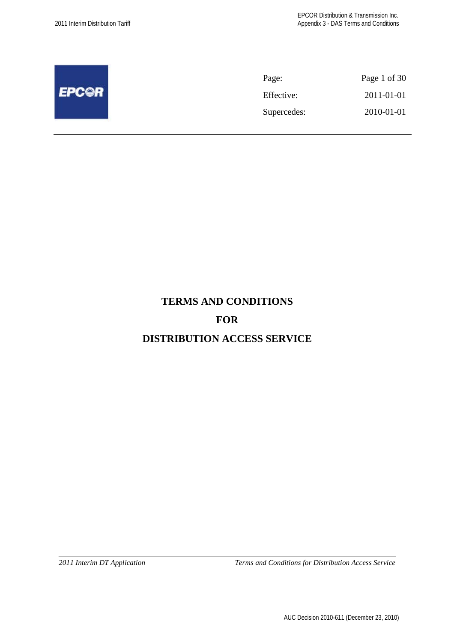|              | Page:       | Page 1 of 30 |
|--------------|-------------|--------------|
| <b>EPC@R</b> | Effective:  | 2011-01-01   |
|              | Supercedes: | 2010-01-01   |
|              |             |              |

# **TERMS AND CONDITIONS**

# **FOR**

# **DISTRIBUTION ACCESS SERVICE**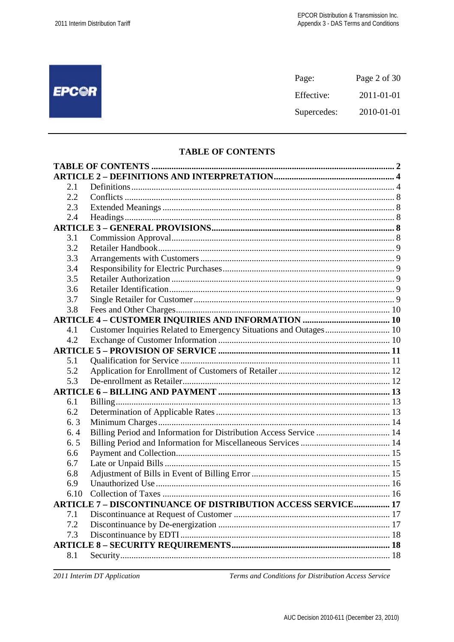# **EPC@R**

| Page:       | Page 2 of 30 |
|-------------|--------------|
| Effective:  | 2011-01-01   |
| Supercedes: | 2010-01-01   |

# **TABLE OF CONTENTS**

| 2.1  |                                                                     |  |
|------|---------------------------------------------------------------------|--|
| 2.2  |                                                                     |  |
| 2.3  |                                                                     |  |
| 2.4  |                                                                     |  |
|      |                                                                     |  |
| 3.1  |                                                                     |  |
| 3.2  |                                                                     |  |
| 3.3  |                                                                     |  |
| 3.4  |                                                                     |  |
| 3.5  |                                                                     |  |
| 3.6  |                                                                     |  |
| 3.7  |                                                                     |  |
| 3.8  |                                                                     |  |
|      |                                                                     |  |
| 4.1  | Customer Inquiries Related to Emergency Situations and Outages 10   |  |
| 4.2  |                                                                     |  |
|      |                                                                     |  |
| 5.1  |                                                                     |  |
| 5.2  |                                                                     |  |
| 5.3  |                                                                     |  |
|      |                                                                     |  |
| 6.1  |                                                                     |  |
| 6.2  |                                                                     |  |
| 6.3  |                                                                     |  |
| 6.4  | Billing Period and Information for Distribution Access Service  14  |  |
| 6.5  |                                                                     |  |
| 6.6  |                                                                     |  |
| 6.7  |                                                                     |  |
| 6.8  |                                                                     |  |
| 6.9  |                                                                     |  |
| 6.10 |                                                                     |  |
|      | <b>ARTICLE 7 - DISCONTINUANCE OF DISTRIBUTION ACCESS SERVICE 17</b> |  |
| 7.1  |                                                                     |  |
| 7.2  |                                                                     |  |
| 7.3  |                                                                     |  |
|      |                                                                     |  |
| 8.1  |                                                                     |  |

2011 Interim DT Application

Terms and Conditions for Distribution Access Service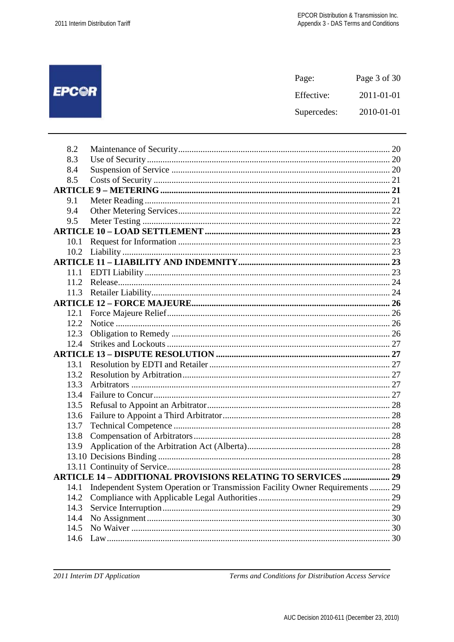|              | Page:       | Page 3 of 30 |
|--------------|-------------|--------------|
| <b>EPC@R</b> | Effective:  | 2011-01-01   |
|              | Supercedes: | 2010-01-01   |
|              |             |              |

| 8.2  |                                                                              |  |
|------|------------------------------------------------------------------------------|--|
| 8.3  |                                                                              |  |
| 8.4  |                                                                              |  |
| 8.5  |                                                                              |  |
|      |                                                                              |  |
| 9.1  |                                                                              |  |
| 9.4  |                                                                              |  |
| 9.5  |                                                                              |  |
|      |                                                                              |  |
| 10.1 |                                                                              |  |
|      |                                                                              |  |
|      |                                                                              |  |
| 11.1 |                                                                              |  |
| 11.2 |                                                                              |  |
|      |                                                                              |  |
|      |                                                                              |  |
| 12.1 |                                                                              |  |
| 12.2 |                                                                              |  |
| 12.3 |                                                                              |  |
| 12.4 |                                                                              |  |
|      |                                                                              |  |
| 13.1 |                                                                              |  |
| 13.2 |                                                                              |  |
| 13.3 |                                                                              |  |
| 13.4 |                                                                              |  |
| 13.5 |                                                                              |  |
| 13.6 |                                                                              |  |
| 13.7 |                                                                              |  |
| 13.8 |                                                                              |  |
| 13.9 |                                                                              |  |
|      |                                                                              |  |
|      |                                                                              |  |
|      | <b>ARTICLE 14 - ADDITIONAL PROVISIONS RELATING TO SERVICES  29</b>           |  |
| 14.1 | Independent System Operation or Transmission Facility Owner Requirements  29 |  |
| 14.2 |                                                                              |  |
| 14.3 |                                                                              |  |
| 14.4 |                                                                              |  |
| 14.5 |                                                                              |  |
| 14.6 |                                                                              |  |
|      |                                                                              |  |

2011 Interim DT Application

Terms and Conditions for Distribution Access Service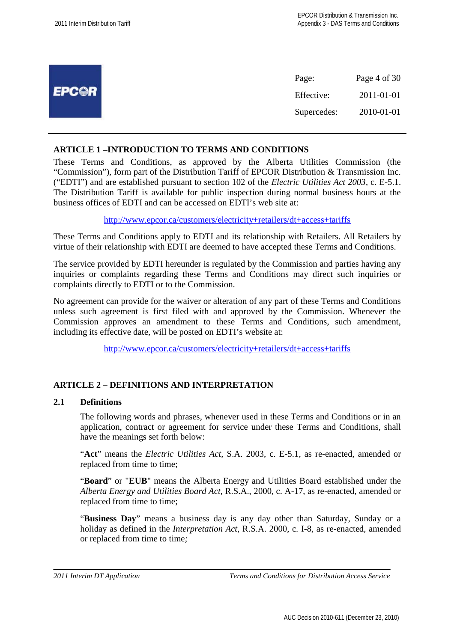|              | Page:       | Page 4 of 30 |
|--------------|-------------|--------------|
| <b>EPC@R</b> | Effective:  | 2011-01-01   |
|              | Supercedes: | 2010-01-01   |
|              |             |              |

# **ARTICLE 1 –INTRODUCTION TO TERMS AND CONDITIONS**

These Terms and Conditions, as approved by the Alberta Utilities Commission (the "Commission"), form part of the Distribution Tariff of EPCOR Distribution & Transmission Inc. ("EDTI") and are established pursuant to section 102 of the *Electric Utilities Act 2003*, c. E-5.1. The Distribution Tariff is available for public inspection during normal business hours at the business offices of EDTI and can be accessed on EDTI's web site at:

http://www.epcor.ca/customers/electricity+retailers/dt+access+tariffs

These Terms and Conditions apply to EDTI and its relationship with Retailers. All Retailers by virtue of their relationship with EDTI are deemed to have accepted these Terms and Conditions.

The service provided by EDTI hereunder is regulated by the Commission and parties having any inquiries or complaints regarding these Terms and Conditions may direct such inquiries or complaints directly to EDTI or to the Commission.

No agreement can provide for the waiver or alteration of any part of these Terms and Conditions unless such agreement is first filed with and approved by the Commission. Whenever the Commission approves an amendment to these Terms and Conditions, such amendment, including its effective date, will be posted on EDTI's website at:

http://www.epcor.ca/customers/electricity+retailers/dt+access+tariffs

# **ARTICLE 2 – DEFINITIONS AND INTERPRETATION**

# **2.1 Definitions**

The following words and phrases, whenever used in these Terms and Conditions or in an application, contract or agreement for service under these Terms and Conditions, shall have the meanings set forth below:

"**Act**" means the *Electric Utilities Act*, S.A. 2003, c. E-5.1, as re-enacted, amended or replaced from time to time;

"**Board**" or "**EUB**" means the Alberta Energy and Utilities Board established under the *Alberta Energy and Utilities Board Act*, R.S.A., 2000, c. A-17, as re-enacted, amended or replaced from time to time;

"**Business Day**" means a business day is any day other than Saturday, Sunday or a holiday as defined in the *Interpretation Act*, R.S.A. 2000, c. I-8, as re-enacted, amended or replaced from time to time*;*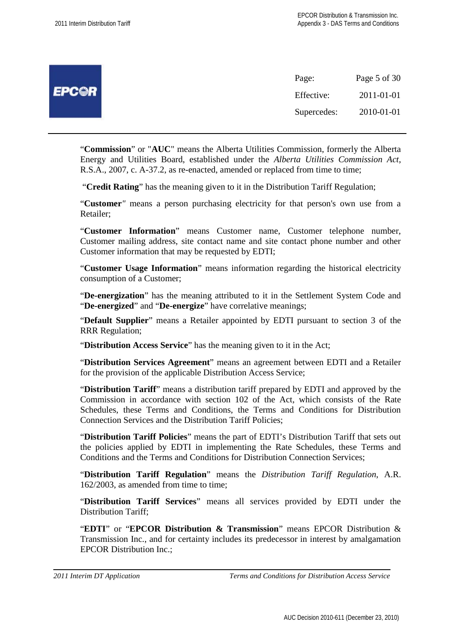|              | Page:       | Page 5 of 30 |
|--------------|-------------|--------------|
| <b>EPCOR</b> | Effective:  | 2011-01-01   |
|              | Supercedes: | 2010-01-01   |

"**Commission**" or "**AUC**" means the Alberta Utilities Commission, formerly the Alberta Energy and Utilities Board, established under the *Alberta Utilities Commission Act*, R.S.A., 2007, c. A-37.2, as re-enacted, amended or replaced from time to time;

"**Credit Rating**" has the meaning given to it in the Distribution Tariff Regulation;

"**Customer***"* means a person purchasing electricity for that person's own use from a Retailer;

"**Customer Information**" means Customer name, Customer telephone number, Customer mailing address, site contact name and site contact phone number and other Customer information that may be requested by EDTI;

"**Customer Usage Information**" means information regarding the historical electricity consumption of a Customer;

"**De-energization**" has the meaning attributed to it in the Settlement System Code and "**De-energized**" and "**De-energize**" have correlative meanings;

"**Default Supplier**" means a Retailer appointed by EDTI pursuant to section 3 of the RRR Regulation;

"**Distribution Access Service**" has the meaning given to it in the Act;

"**Distribution Services Agreement**" means an agreement between EDTI and a Retailer for the provision of the applicable Distribution Access Service;

"**Distribution Tariff**" means a distribution tariff prepared by EDTI and approved by the Commission in accordance with section 102 of the Act, which consists of the Rate Schedules, these Terms and Conditions, the Terms and Conditions for Distribution Connection Services and the Distribution Tariff Policies;

"**Distribution Tariff Policies**" means the part of EDTI's Distribution Tariff that sets out the policies applied by EDTI in implementing the Rate Schedules, these Terms and Conditions and the Terms and Conditions for Distribution Connection Services;

"**Distribution Tariff Regulation**" means the *Distribution Tariff Regulation*, A.R. 162/2003, as amended from time to time;

"**Distribution Tariff Services**" means all services provided by EDTI under the Distribution Tariff;

"**EDTI**" or "**EPCOR Distribution & Transmission**" means EPCOR Distribution & Transmission Inc., and for certainty includes its predecessor in interest by amalgamation EPCOR Distribution Inc.;

```
2011 Interim DT Application Terms and Conditions for Distribution Access Service
```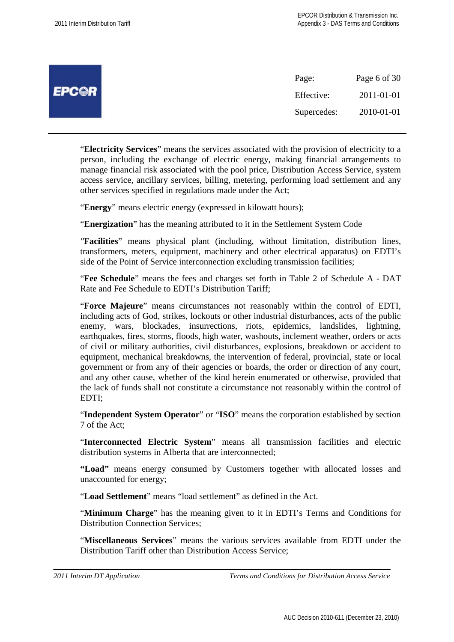|              | Page:       | Page 6 of 30 |
|--------------|-------------|--------------|
| <b>EPCOR</b> | Effective:  | 2011-01-01   |
|              | Supercedes: | 2010-01-01   |

"**Electricity Services**" means the services associated with the provision of electricity to a person, including the exchange of electric energy, making financial arrangements to manage financial risk associated with the pool price, Distribution Access Service, system access service, ancillary services, billing, metering, performing load settlement and any other services specified in regulations made under the Act;

"**Energy**" means electric energy (expressed in kilowatt hours);

"**Energization**" has the meaning attributed to it in the Settlement System Code

*"***Facilities**" means physical plant (including, without limitation, distribution lines, transformers, meters, equipment, machinery and other electrical apparatus) on EDTI's side of the Point of Service interconnection excluding transmission facilities;

"**Fee Schedule**" means the fees and charges set forth in Table 2 of Schedule A - DAT Rate and Fee Schedule to EDTI's Distribution Tariff;

"**Force Majeure**" means circumstances not reasonably within the control of EDTI, including acts of God, strikes, lockouts or other industrial disturbances, acts of the public enemy, wars, blockades, insurrections, riots, epidemics, landslides, lightning, earthquakes, fires, storms, floods, high water, washouts, inclement weather, orders or acts of civil or military authorities, civil disturbances, explosions, breakdown or accident to equipment, mechanical breakdowns, the intervention of federal, provincial, state or local government or from any of their agencies or boards, the order or direction of any court, and any other cause, whether of the kind herein enumerated or otherwise, provided that the lack of funds shall not constitute a circumstance not reasonably within the control of EDTI;

"**Independent System Operator**" or "**ISO**" means the corporation established by section 7 of the Act;

"**Interconnected Electric System**" means all transmission facilities and electric distribution systems in Alberta that are interconnected;

**"Load"** means energy consumed by Customers together with allocated losses and unaccounted for energy;

"**Load Settlement**" means "load settlement" as defined in the Act.

"**Minimum Charge**" has the meaning given to it in EDTI's Terms and Conditions for Distribution Connection Services;

"**Miscellaneous Services**" means the various services available from EDTI under the Distribution Tariff other than Distribution Access Service;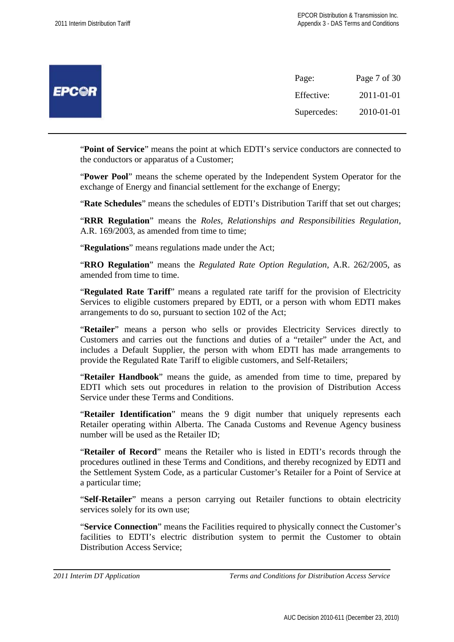|              | Page:       | Page 7 of 30 |
|--------------|-------------|--------------|
| <b>EPCOR</b> | Effective:  | 2011-01-01   |
|              | Supercedes: | 2010-01-01   |

"**Point of Service**" means the point at which EDTI's service conductors are connected to the conductors or apparatus of a Customer;

"**Power Pool**" means the scheme operated by the Independent System Operator for the exchange of Energy and financial settlement for the exchange of Energy;

"**Rate Schedules**" means the schedules of EDTI's Distribution Tariff that set out charges;

"**RRR Regulation**" means the *Roles, Relationships and Responsibilities Regulation*, A.R. 169/2003, as amended from time to time;

"**Regulations**" means regulations made under the Act;

"**RRO Regulation**" means the *Regulated Rate Option Regulation*, A.R. 262/2005, as amended from time to time.

"**Regulated Rate Tariff**" means a regulated rate tariff for the provision of Electricity Services to eligible customers prepared by EDTI, or a person with whom EDTI makes arrangements to do so, pursuant to section 102 of the Act;

"**Retailer**" means a person who sells or provides Electricity Services directly to Customers and carries out the functions and duties of a "retailer" under the Act, and includes a Default Supplier, the person with whom EDTI has made arrangements to provide the Regulated Rate Tariff to eligible customers, and Self-Retailers;

"**Retailer Handbook**" means the guide, as amended from time to time, prepared by EDTI which sets out procedures in relation to the provision of Distribution Access Service under these Terms and Conditions.

"**Retailer Identification**" means the 9 digit number that uniquely represents each Retailer operating within Alberta. The Canada Customs and Revenue Agency business number will be used as the Retailer ID;

"**Retailer of Record**" means the Retailer who is listed in EDTI's records through the procedures outlined in these Terms and Conditions, and thereby recognized by EDTI and the Settlement System Code, as a particular Customer's Retailer for a Point of Service at a particular time;

"**Self-Retailer**" means a person carrying out Retailer functions to obtain electricity services solely for its own use;

"**Service Connection**" means the Facilities required to physically connect the Customer's facilities to EDTI's electric distribution system to permit the Customer to obtain Distribution Access Service;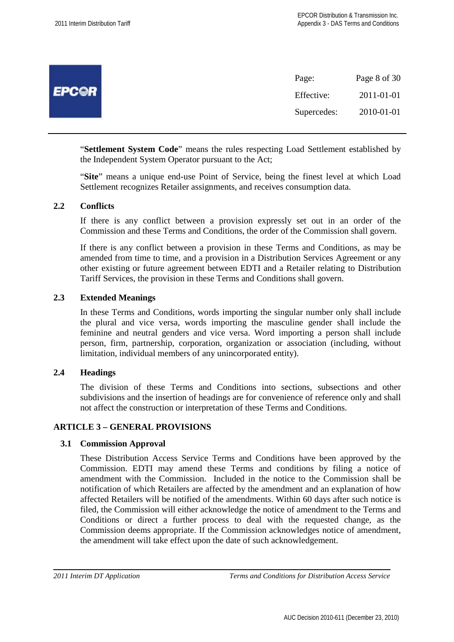|              | Page:       | Page 8 of 30 |
|--------------|-------------|--------------|
| <b>EPCOR</b> | Effective:  | 2011-01-01   |
|              | Supercedes: | 2010-01-01   |

"**Settlement System Code**" means the rules respecting Load Settlement established by the Independent System Operator pursuant to the Act;

"**Site**" means a unique end-use Point of Service, being the finest level at which Load Settlement recognizes Retailer assignments, and receives consumption data.

#### **2.2 Conflicts**

If there is any conflict between a provision expressly set out in an order of the Commission and these Terms and Conditions, the order of the Commission shall govern.

If there is any conflict between a provision in these Terms and Conditions, as may be amended from time to time, and a provision in a Distribution Services Agreement or any other existing or future agreement between EDTI and a Retailer relating to Distribution Tariff Services, the provision in these Terms and Conditions shall govern.

#### **2.3 Extended Meanings**

In these Terms and Conditions, words importing the singular number only shall include the plural and vice versa, words importing the masculine gender shall include the feminine and neutral genders and vice versa. Word importing a person shall include person, firm, partnership, corporation, organization or association (including, without limitation, individual members of any unincorporated entity).

#### **2.4 Headings**

The division of these Terms and Conditions into sections, subsections and other subdivisions and the insertion of headings are for convenience of reference only and shall not affect the construction or interpretation of these Terms and Conditions.

#### **ARTICLE 3 – GENERAL PROVISIONS**

#### **3.1 Commission Approval**

These Distribution Access Service Terms and Conditions have been approved by the Commission. EDTI may amend these Terms and conditions by filing a notice of amendment with the Commission. Included in the notice to the Commission shall be notification of which Retailers are affected by the amendment and an explanation of how affected Retailers will be notified of the amendments. Within 60 days after such notice is filed, the Commission will either acknowledge the notice of amendment to the Terms and Conditions or direct a further process to deal with the requested change, as the Commission deems appropriate. If the Commission acknowledges notice of amendment, the amendment will take effect upon the date of such acknowledgement.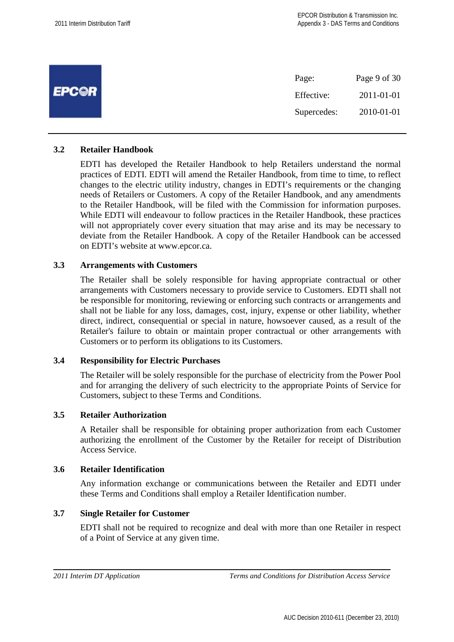|              | Page:       | Page 9 of 30 |
|--------------|-------------|--------------|
| <b>EPCOR</b> | Effective:  | 2011-01-01   |
|              | Supercedes: | 2010-01-01   |

#### **3.2 Retailer Handbook**

EDTI has developed the Retailer Handbook to help Retailers understand the normal practices of EDTI. EDTI will amend the Retailer Handbook, from time to time, to reflect changes to the electric utility industry, changes in EDTI's requirements or the changing needs of Retailers or Customers. A copy of the Retailer Handbook, and any amendments to the Retailer Handbook, will be filed with the Commission for information purposes. While EDTI will endeavour to follow practices in the Retailer Handbook, these practices will not appropriately cover every situation that may arise and its may be necessary to deviate from the Retailer Handbook. A copy of the Retailer Handbook can be accessed on EDTI's website at www.epcor.ca.

# **3.3 Arrangements with Customers**

The Retailer shall be solely responsible for having appropriate contractual or other arrangements with Customers necessary to provide service to Customers. EDTI shall not be responsible for monitoring, reviewing or enforcing such contracts or arrangements and shall not be liable for any loss, damages, cost, injury, expense or other liability, whether direct, indirect, consequential or special in nature, howsoever caused, as a result of the Retailer's failure to obtain or maintain proper contractual or other arrangements with Customers or to perform its obligations to its Customers.

#### **3.4 Responsibility for Electric Purchases**

The Retailer will be solely responsible for the purchase of electricity from the Power Pool and for arranging the delivery of such electricity to the appropriate Points of Service for Customers, subject to these Terms and Conditions.

## **3.5 Retailer Authorization**

A Retailer shall be responsible for obtaining proper authorization from each Customer authorizing the enrollment of the Customer by the Retailer for receipt of Distribution Access Service.

# **3.6 Retailer Identification**

Any information exchange or communications between the Retailer and EDTI under these Terms and Conditions shall employ a Retailer Identification number.

# **3.7 Single Retailer for Customer**

EDTI shall not be required to recognize and deal with more than one Retailer in respect of a Point of Service at any given time.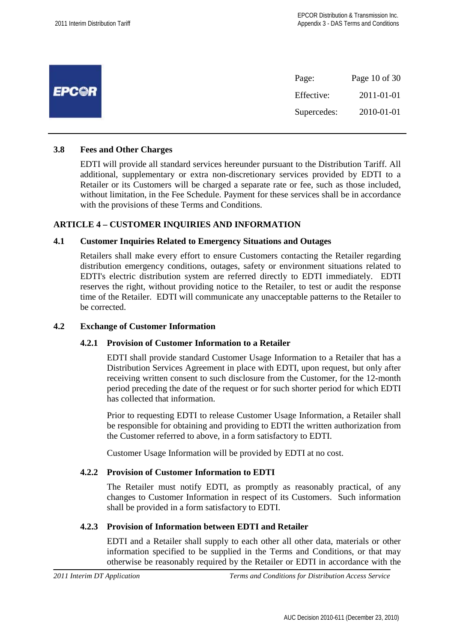|              | Page:       | Page 10 of 30 |
|--------------|-------------|---------------|
| <b>EPCOR</b> | Effective:  | 2011-01-01    |
|              | Supercedes: | 2010-01-01    |

#### **3.8 Fees and Other Charges**

EDTI will provide all standard services hereunder pursuant to the Distribution Tariff. All additional, supplementary or extra non-discretionary services provided by EDTI to a Retailer or its Customers will be charged a separate rate or fee, such as those included, without limitation, in the Fee Schedule. Payment for these services shall be in accordance with the provisions of these Terms and Conditions.

#### **ARTICLE 4 – CUSTOMER INQUIRIES AND INFORMATION**

#### **4.1 Customer Inquiries Related to Emergency Situations and Outages**

Retailers shall make every effort to ensure Customers contacting the Retailer regarding distribution emergency conditions, outages, safety or environment situations related to EDTI's electric distribution system are referred directly to EDTI immediately. EDTI reserves the right, without providing notice to the Retailer, to test or audit the response time of the Retailer. EDTI will communicate any unacceptable patterns to the Retailer to be corrected.

#### **4.2 Exchange of Customer Information**

#### **4.2.1 Provision of Customer Information to a Retailer**

EDTI shall provide standard Customer Usage Information to a Retailer that has a Distribution Services Agreement in place with EDTI, upon request, but only after receiving written consent to such disclosure from the Customer, for the 12-month period preceding the date of the request or for such shorter period for which EDTI has collected that information.

Prior to requesting EDTI to release Customer Usage Information, a Retailer shall be responsible for obtaining and providing to EDTI the written authorization from the Customer referred to above, in a form satisfactory to EDTI.

Customer Usage Information will be provided by EDTI at no cost.

#### **4.2.2 Provision of Customer Information to EDTI**

The Retailer must notify EDTI, as promptly as reasonably practical, of any changes to Customer Information in respect of its Customers. Such information shall be provided in a form satisfactory to EDTI.

#### **4.2.3 Provision of Information between EDTI and Retailer**

EDTI and a Retailer shall supply to each other all other data, materials or other information specified to be supplied in the Terms and Conditions, or that may otherwise be reasonably required by the Retailer or EDTI in accordance with the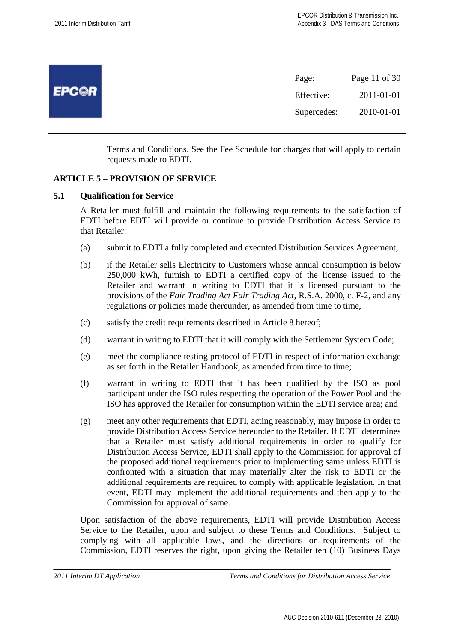

Terms and Conditions. See the Fee Schedule for charges that will apply to certain requests made to EDTI.

# **ARTICLE 5 – PROVISION OF SERVICE**

#### **5.1 Qualification for Service**

A Retailer must fulfill and maintain the following requirements to the satisfaction of EDTI before EDTI will provide or continue to provide Distribution Access Service to that Retailer:

- (a) submit to EDTI a fully completed and executed Distribution Services Agreement;
- (b) if the Retailer sells Electricity to Customers whose annual consumption is below 250,000 kWh, furnish to EDTI a certified copy of the license issued to the Retailer and warrant in writing to EDTI that it is licensed pursuant to the provisions of the *Fair Trading Act Fair Trading Act*, R.S.A. 2000, c. F-2, and any regulations or policies made thereunder, as amended from time to time,
- (c) satisfy the credit requirements described in Article 8 hereof;
- (d) warrant in writing to EDTI that it will comply with the Settlement System Code;
- (e) meet the compliance testing protocol of EDTI in respect of information exchange as set forth in the Retailer Handbook, as amended from time to time;
- (f) warrant in writing to EDTI that it has been qualified by the ISO as pool participant under the ISO rules respecting the operation of the Power Pool and the ISO has approved the Retailer for consumption within the EDTI service area; and
- (g) meet any other requirements that EDTI, acting reasonably, may impose in order to provide Distribution Access Service hereunder to the Retailer. If EDTI determines that a Retailer must satisfy additional requirements in order to qualify for Distribution Access Service, EDTI shall apply to the Commission for approval of the proposed additional requirements prior to implementing same unless EDTI is confronted with a situation that may materially alter the risk to EDTI or the additional requirements are required to comply with applicable legislation. In that event, EDTI may implement the additional requirements and then apply to the Commission for approval of same.

Upon satisfaction of the above requirements, EDTI will provide Distribution Access Service to the Retailer, upon and subject to these Terms and Conditions. Subject to complying with all applicable laws, and the directions or requirements of the Commission, EDTI reserves the right, upon giving the Retailer ten (10) Business Days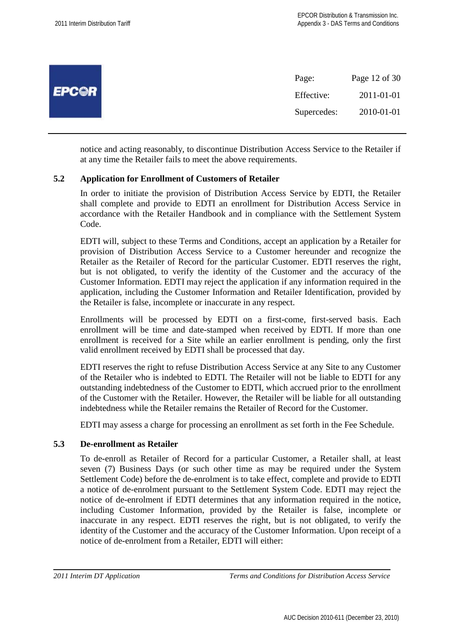|              | Page:       | Page 12 of 30 |
|--------------|-------------|---------------|
| <b>EPC@R</b> | Effective:  | 2011-01-01    |
|              | Supercedes: | 2010-01-01    |
|              |             |               |

notice and acting reasonably, to discontinue Distribution Access Service to the Retailer if at any time the Retailer fails to meet the above requirements.

#### **5.2 Application for Enrollment of Customers of Retailer**

In order to initiate the provision of Distribution Access Service by EDTI, the Retailer shall complete and provide to EDTI an enrollment for Distribution Access Service in accordance with the Retailer Handbook and in compliance with the Settlement System Code.

EDTI will, subject to these Terms and Conditions, accept an application by a Retailer for provision of Distribution Access Service to a Customer hereunder and recognize the Retailer as the Retailer of Record for the particular Customer. EDTI reserves the right, but is not obligated, to verify the identity of the Customer and the accuracy of the Customer Information. EDTI may reject the application if any information required in the application, including the Customer Information and Retailer Identification, provided by the Retailer is false, incomplete or inaccurate in any respect.

Enrollments will be processed by EDTI on a first-come, first-served basis. Each enrollment will be time and date-stamped when received by EDTI. If more than one enrollment is received for a Site while an earlier enrollment is pending, only the first valid enrollment received by EDTI shall be processed that day.

EDTI reserves the right to refuse Distribution Access Service at any Site to any Customer of the Retailer who is indebted to EDTI. The Retailer will not be liable to EDTI for any outstanding indebtedness of the Customer to EDTI, which accrued prior to the enrollment of the Customer with the Retailer. However, the Retailer will be liable for all outstanding indebtedness while the Retailer remains the Retailer of Record for the Customer.

EDTI may assess a charge for processing an enrollment as set forth in the Fee Schedule.

#### **5.3 De-enrollment as Retailer**

To de-enroll as Retailer of Record for a particular Customer, a Retailer shall, at least seven (7) Business Days (or such other time as may be required under the System Settlement Code) before the de-enrolment is to take effect, complete and provide to EDTI a notice of de-enrolment pursuant to the Settlement System Code. EDTI may reject the notice of de-enrolment if EDTI determines that any information required in the notice, including Customer Information, provided by the Retailer is false, incomplete or inaccurate in any respect. EDTI reserves the right, but is not obligated, to verify the identity of the Customer and the accuracy of the Customer Information. Upon receipt of a notice of de-enrolment from a Retailer, EDTI will either: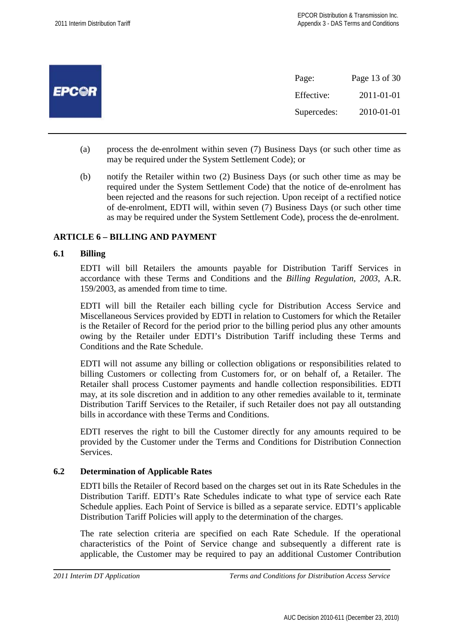|              | Page:       | Page 13 of 30 |
|--------------|-------------|---------------|
| <b>EPCOR</b> | Effective:  | 2011-01-01    |
|              | Supercedes: | 2010-01-01    |
|              |             |               |

- (a) process the de-enrolment within seven (7) Business Days (or such other time as may be required under the System Settlement Code); or
- (b) notify the Retailer within two (2) Business Days (or such other time as may be required under the System Settlement Code) that the notice of de-enrolment has been rejected and the reasons for such rejection. Upon receipt of a rectified notice of de-enrolment, EDTI will, within seven (7) Business Days (or such other time as may be required under the System Settlement Code), process the de-enrolment.

# **ARTICLE 6 – BILLING AND PAYMENT**

## **6.1 Billing**

EDTI will bill Retailers the amounts payable for Distribution Tariff Services in accordance with these Terms and Conditions and the *Billing Regulation, 2003*, A.R. 159/2003, as amended from time to time.

EDTI will bill the Retailer each billing cycle for Distribution Access Service and Miscellaneous Services provided by EDTI in relation to Customers for which the Retailer is the Retailer of Record for the period prior to the billing period plus any other amounts owing by the Retailer under EDTI's Distribution Tariff including these Terms and Conditions and the Rate Schedule.

EDTI will not assume any billing or collection obligations or responsibilities related to billing Customers or collecting from Customers for, or on behalf of, a Retailer. The Retailer shall process Customer payments and handle collection responsibilities. EDTI may, at its sole discretion and in addition to any other remedies available to it, terminate Distribution Tariff Services to the Retailer, if such Retailer does not pay all outstanding bills in accordance with these Terms and Conditions.

EDTI reserves the right to bill the Customer directly for any amounts required to be provided by the Customer under the Terms and Conditions for Distribution Connection Services.

#### **6.2 Determination of Applicable Rates**

EDTI bills the Retailer of Record based on the charges set out in its Rate Schedules in the Distribution Tariff. EDTI's Rate Schedules indicate to what type of service each Rate Schedule applies. Each Point of Service is billed as a separate service. EDTI's applicable Distribution Tariff Policies will apply to the determination of the charges.

The rate selection criteria are specified on each Rate Schedule. If the operational characteristics of the Point of Service change and subsequently a different rate is applicable, the Customer may be required to pay an additional Customer Contribution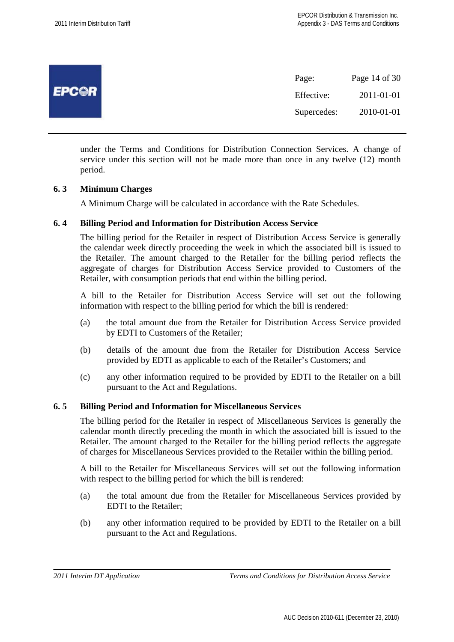|              | Page:       | Page 14 of 30 |
|--------------|-------------|---------------|
| <b>EPCOR</b> | Effective:  | 2011-01-01    |
|              | Supercedes: | 2010-01-01    |
|              |             |               |

under the Terms and Conditions for Distribution Connection Services. A change of service under this section will not be made more than once in any twelve (12) month period.

#### **6. 3 Minimum Charges**

A Minimum Charge will be calculated in accordance with the Rate Schedules.

#### **6. 4 Billing Period and Information for Distribution Access Service**

The billing period for the Retailer in respect of Distribution Access Service is generally the calendar week directly proceeding the week in which the associated bill is issued to the Retailer. The amount charged to the Retailer for the billing period reflects the aggregate of charges for Distribution Access Service provided to Customers of the Retailer, with consumption periods that end within the billing period.

A bill to the Retailer for Distribution Access Service will set out the following information with respect to the billing period for which the bill is rendered:

- (a) the total amount due from the Retailer for Distribution Access Service provided by EDTI to Customers of the Retailer;
- (b) details of the amount due from the Retailer for Distribution Access Service provided by EDTI as applicable to each of the Retailer's Customers; and
- (c) any other information required to be provided by EDTI to the Retailer on a bill pursuant to the Act and Regulations.

#### **6. 5 Billing Period and Information for Miscellaneous Services**

The billing period for the Retailer in respect of Miscellaneous Services is generally the calendar month directly preceding the month in which the associated bill is issued to the Retailer. The amount charged to the Retailer for the billing period reflects the aggregate of charges for Miscellaneous Services provided to the Retailer within the billing period.

A bill to the Retailer for Miscellaneous Services will set out the following information with respect to the billing period for which the bill is rendered:

- (a) the total amount due from the Retailer for Miscellaneous Services provided by EDTI to the Retailer;
- (b) any other information required to be provided by EDTI to the Retailer on a bill pursuant to the Act and Regulations.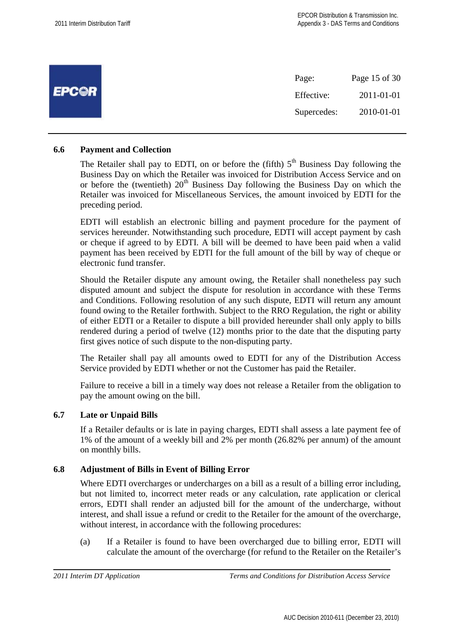|              | Page:       | Page 15 of 30 |
|--------------|-------------|---------------|
| <b>EPCOR</b> | Effective:  | 2011-01-01    |
|              | Supercedes: | 2010-01-01    |

#### **6.6 Payment and Collection**

The Retailer shall pay to EDTI, on or before the (fifth)  $5<sup>th</sup>$  Business Day following the Business Day on which the Retailer was invoiced for Distribution Access Service and on or before the (twentieth)  $20<sup>th</sup>$  Business Day following the Business Day on which the Retailer was invoiced for Miscellaneous Services, the amount invoiced by EDTI for the preceding period.

EDTI will establish an electronic billing and payment procedure for the payment of services hereunder. Notwithstanding such procedure, EDTI will accept payment by cash or cheque if agreed to by EDTI. A bill will be deemed to have been paid when a valid payment has been received by EDTI for the full amount of the bill by way of cheque or electronic fund transfer.

Should the Retailer dispute any amount owing, the Retailer shall nonetheless pay such disputed amount and subject the dispute for resolution in accordance with these Terms and Conditions. Following resolution of any such dispute, EDTI will return any amount found owing to the Retailer forthwith. Subject to the RRO Regulation, the right or ability of either EDTI or a Retailer to dispute a bill provided hereunder shall only apply to bills rendered during a period of twelve (12) months prior to the date that the disputing party first gives notice of such dispute to the non-disputing party.

The Retailer shall pay all amounts owed to EDTI for any of the Distribution Access Service provided by EDTI whether or not the Customer has paid the Retailer.

Failure to receive a bill in a timely way does not release a Retailer from the obligation to pay the amount owing on the bill.

#### **6.7 Late or Unpaid Bills**

If a Retailer defaults or is late in paying charges, EDTI shall assess a late payment fee of 1% of the amount of a weekly bill and 2% per month (26.82% per annum) of the amount on monthly bills.

# **6.8 Adjustment of Bills in Event of Billing Error**

Where EDTI overcharges or undercharges on a bill as a result of a billing error including, but not limited to, incorrect meter reads or any calculation, rate application or clerical errors, EDTI shall render an adjusted bill for the amount of the undercharge, without interest, and shall issue a refund or credit to the Retailer for the amount of the overcharge, without interest, in accordance with the following procedures:

(a) If a Retailer is found to have been overcharged due to billing error, EDTI will calculate the amount of the overcharge (for refund to the Retailer on the Retailer's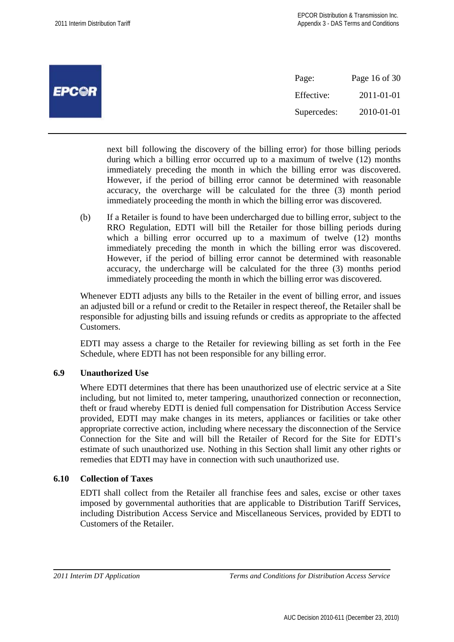| Page 16 of 30            |
|--------------------------|
|                          |
|                          |
| 2011-01-01<br>2010-01-01 |

next bill following the discovery of the billing error) for those billing periods during which a billing error occurred up to a maximum of twelve (12) months immediately preceding the month in which the billing error was discovered. However, if the period of billing error cannot be determined with reasonable accuracy, the overcharge will be calculated for the three (3) month period immediately proceeding the month in which the billing error was discovered.

(b) If a Retailer is found to have been undercharged due to billing error, subject to the RRO Regulation, EDTI will bill the Retailer for those billing periods during which a billing error occurred up to a maximum of twelve (12) months immediately preceding the month in which the billing error was discovered. However, if the period of billing error cannot be determined with reasonable accuracy, the undercharge will be calculated for the three (3) months period immediately proceeding the month in which the billing error was discovered.

Whenever EDTI adjusts any bills to the Retailer in the event of billing error, and issues an adjusted bill or a refund or credit to the Retailer in respect thereof, the Retailer shall be responsible for adjusting bills and issuing refunds or credits as appropriate to the affected Customers.

EDTI may assess a charge to the Retailer for reviewing billing as set forth in the Fee Schedule, where EDTI has not been responsible for any billing error.

# **6.9 Unauthorized Use**

Where EDTI determines that there has been unauthorized use of electric service at a Site including, but not limited to, meter tampering, unauthorized connection or reconnection, theft or fraud whereby EDTI is denied full compensation for Distribution Access Service provided, EDTI may make changes in its meters, appliances or facilities or take other appropriate corrective action, including where necessary the disconnection of the Service Connection for the Site and will bill the Retailer of Record for the Site for EDTI's estimate of such unauthorized use. Nothing in this Section shall limit any other rights or remedies that EDTI may have in connection with such unauthorized use.

# **6.10 Collection of Taxes**

EDTI shall collect from the Retailer all franchise fees and sales, excise or other taxes imposed by governmental authorities that are applicable to Distribution Tariff Services, including Distribution Access Service and Miscellaneous Services, provided by EDTI to Customers of the Retailer.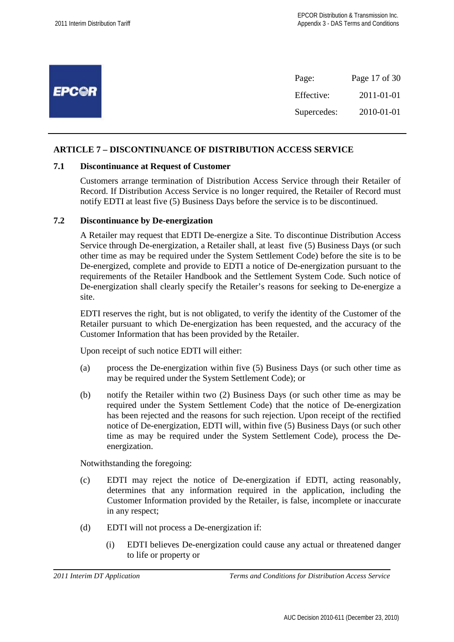|              | Page:       | Page 17 of 30 |
|--------------|-------------|---------------|
| <b>EPCOR</b> | Effective:  | 2011-01-01    |
|              | Supercedes: | 2010-01-01    |

# **ARTICLE 7 – DISCONTINUANCE OF DISTRIBUTION ACCESS SERVICE**

#### **7.1 Discontinuance at Request of Customer**

Customers arrange termination of Distribution Access Service through their Retailer of Record. If Distribution Access Service is no longer required, the Retailer of Record must notify EDTI at least five (5) Business Days before the service is to be discontinued.

#### **7.2 Discontinuance by De-energization**

A Retailer may request that EDTI De-energize a Site. To discontinue Distribution Access Service through De-energization, a Retailer shall, at least five (5) Business Days (or such other time as may be required under the System Settlement Code) before the site is to be De-energized, complete and provide to EDTI a notice of De-energization pursuant to the requirements of the Retailer Handbook and the Settlement System Code. Such notice of De-energization shall clearly specify the Retailer's reasons for seeking to De-energize a site.

EDTI reserves the right, but is not obligated, to verify the identity of the Customer of the Retailer pursuant to which De-energization has been requested, and the accuracy of the Customer Information that has been provided by the Retailer.

Upon receipt of such notice EDTI will either:

- (a) process the De-energization within five (5) Business Days (or such other time as may be required under the System Settlement Code); or
- (b) notify the Retailer within two (2) Business Days (or such other time as may be required under the System Settlement Code) that the notice of De-energization has been rejected and the reasons for such rejection. Upon receipt of the rectified notice of De-energization, EDTI will, within five (5) Business Days (or such other time as may be required under the System Settlement Code), process the Deenergization.

Notwithstanding the foregoing:

- (c) EDTI may reject the notice of De-energization if EDTI, acting reasonably, determines that any information required in the application, including the Customer Information provided by the Retailer, is false, incomplete or inaccurate in any respect;
- (d) EDTI will not process a De-energization if:
	- (i) EDTI believes De-energization could cause any actual or threatened danger to life or property or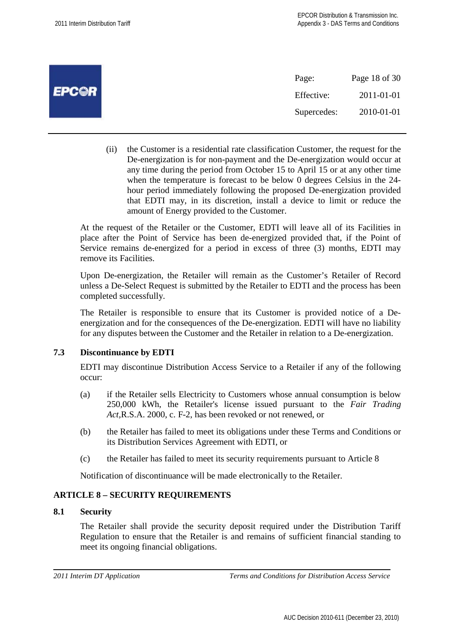|              | Page:       | Page 18 of 30 |
|--------------|-------------|---------------|
| <b>EPCOR</b> | Effective:  | 2011-01-01    |
|              | Supercedes: | 2010-01-01    |

(ii) the Customer is a residential rate classification Customer, the request for the De-energization is for non-payment and the De-energization would occur at any time during the period from October 15 to April 15 or at any other time when the temperature is forecast to be below 0 degrees Celsius in the 24 hour period immediately following the proposed De-energization provided that EDTI may, in its discretion, install a device to limit or reduce the amount of Energy provided to the Customer.

At the request of the Retailer or the Customer, EDTI will leave all of its Facilities in place after the Point of Service has been de-energized provided that, if the Point of Service remains de-energized for a period in excess of three (3) months, EDTI may remove its Facilities.

Upon De-energization, the Retailer will remain as the Customer's Retailer of Record unless a De-Select Request is submitted by the Retailer to EDTI and the process has been completed successfully.

The Retailer is responsible to ensure that its Customer is provided notice of a Deenergization and for the consequences of the De-energization. EDTI will have no liability for any disputes between the Customer and the Retailer in relation to a De-energization.

# **7.3 Discontinuance by EDTI**

EDTI may discontinue Distribution Access Service to a Retailer if any of the following occur:

- (a) if the Retailer sells Electricity to Customers whose annual consumption is below 250,000 kWh, the Retailer's license issued pursuant to the *Fair Trading Act,*R.S.A. 2000, c. F-2, has been revoked or not renewed, or
- (b) the Retailer has failed to meet its obligations under these Terms and Conditions or its Distribution Services Agreement with EDTI, or
- (c) the Retailer has failed to meet its security requirements pursuant to Article 8

Notification of discontinuance will be made electronically to the Retailer.

# **ARTICLE 8 – SECURITY REQUIREMENTS**

# **8.1 Security**

The Retailer shall provide the security deposit required under the Distribution Tariff Regulation to ensure that the Retailer is and remains of sufficient financial standing to meet its ongoing financial obligations.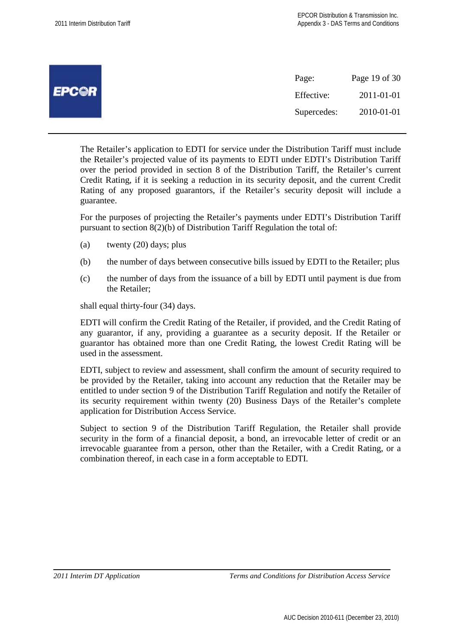|              | Page:       | Page 19 of 30 |
|--------------|-------------|---------------|
| <b>EPCOR</b> | Effective:  | 2011-01-01    |
|              | Supercedes: | 2010-01-01    |

The Retailer's application to EDTI for service under the Distribution Tariff must include the Retailer's projected value of its payments to EDTI under EDTI's Distribution Tariff over the period provided in section 8 of the Distribution Tariff, the Retailer's current Credit Rating, if it is seeking a reduction in its security deposit, and the current Credit Rating of any proposed guarantors, if the Retailer's security deposit will include a guarantee.

For the purposes of projecting the Retailer's payments under EDTI's Distribution Tariff pursuant to section 8(2)(b) of Distribution Tariff Regulation the total of:

- (a) twenty (20) days; plus
- (b) the number of days between consecutive bills issued by EDTI to the Retailer; plus
- (c) the number of days from the issuance of a bill by EDTI until payment is due from the Retailer;

shall equal thirty-four (34) days.

EDTI will confirm the Credit Rating of the Retailer, if provided, and the Credit Rating of any guarantor, if any, providing a guarantee as a security deposit. If the Retailer or guarantor has obtained more than one Credit Rating, the lowest Credit Rating will be used in the assessment.

EDTI, subject to review and assessment, shall confirm the amount of security required to be provided by the Retailer, taking into account any reduction that the Retailer may be entitled to under section 9 of the Distribution Tariff Regulation and notify the Retailer of its security requirement within twenty (20) Business Days of the Retailer's complete application for Distribution Access Service.

Subject to section 9 of the Distribution Tariff Regulation, the Retailer shall provide security in the form of a financial deposit, a bond, an irrevocable letter of credit or an irrevocable guarantee from a person, other than the Retailer, with a Credit Rating, or a combination thereof, in each case in a form acceptable to EDTI.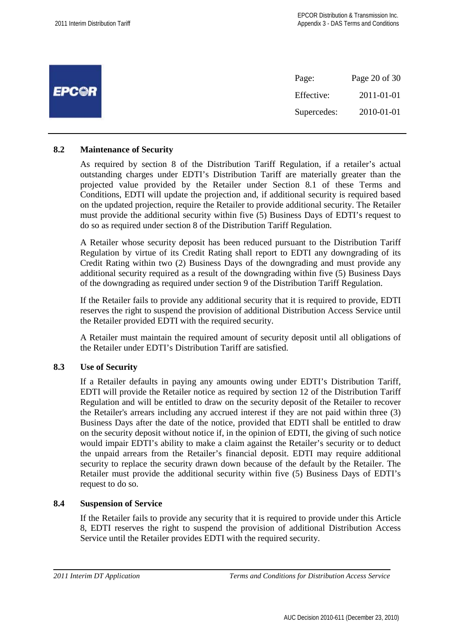| Page:       | Page 20 of 30 |
|-------------|---------------|
| Effective:  | 2011-01-01    |
| Supercedes: | 2010-01-01    |
|             |               |

## **8.2 Maintenance of Security**

As required by section 8 of the Distribution Tariff Regulation, if a retailer's actual outstanding charges under EDTI's Distribution Tariff are materially greater than the projected value provided by the Retailer under Section 8.1 of these Terms and Conditions, EDTI will update the projection and, if additional security is required based on the updated projection, require the Retailer to provide additional security. The Retailer must provide the additional security within five (5) Business Days of EDTI's request to do so as required under section 8 of the Distribution Tariff Regulation.

A Retailer whose security deposit has been reduced pursuant to the Distribution Tariff Regulation by virtue of its Credit Rating shall report to EDTI any downgrading of its Credit Rating within two (2) Business Days of the downgrading and must provide any additional security required as a result of the downgrading within five (5) Business Days of the downgrading as required under section 9 of the Distribution Tariff Regulation.

If the Retailer fails to provide any additional security that it is required to provide, EDTI reserves the right to suspend the provision of additional Distribution Access Service until the Retailer provided EDTI with the required security.

A Retailer must maintain the required amount of security deposit until all obligations of the Retailer under EDTI's Distribution Tariff are satisfied.

# **8.3 Use of Security**

If a Retailer defaults in paying any amounts owing under EDTI's Distribution Tariff, EDTI will provide the Retailer notice as required by section 12 of the Distribution Tariff Regulation and will be entitled to draw on the security deposit of the Retailer to recover the Retailer's arrears including any accrued interest if they are not paid within three (3) Business Days after the date of the notice, provided that EDTI shall be entitled to draw on the security deposit without notice if, in the opinion of EDTI, the giving of such notice would impair EDTI's ability to make a claim against the Retailer's security or to deduct the unpaid arrears from the Retailer's financial deposit. EDTI may require additional security to replace the security drawn down because of the default by the Retailer. The Retailer must provide the additional security within five (5) Business Days of EDTI's request to do so.

#### **8.4 Suspension of Service**

If the Retailer fails to provide any security that it is required to provide under this Article 8, EDTI reserves the right to suspend the provision of additional Distribution Access Service until the Retailer provides EDTI with the required security.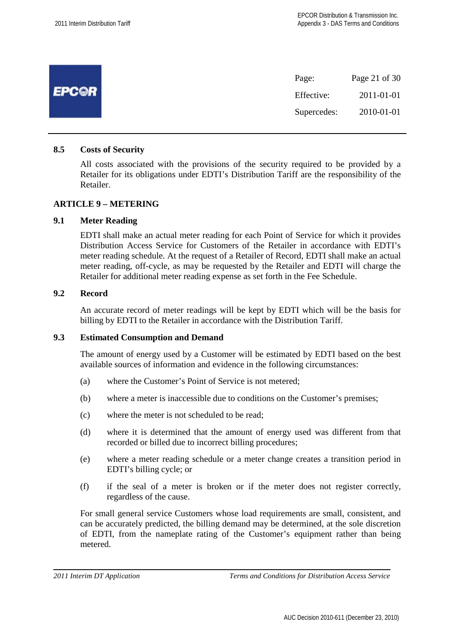|              | Page 21 of 30<br>Page:    |  |
|--------------|---------------------------|--|
| <b>EPC@R</b> | 2011-01-01<br>Effective:  |  |
|              | 2010-01-01<br>Supercedes: |  |

#### **8.5 Costs of Security**

All costs associated with the provisions of the security required to be provided by a Retailer for its obligations under EDTI's Distribution Tariff are the responsibility of the Retailer.

#### **ARTICLE 9 – METERING**

#### **9.1 Meter Reading**

EDTI shall make an actual meter reading for each Point of Service for which it provides Distribution Access Service for Customers of the Retailer in accordance with EDTI's meter reading schedule. At the request of a Retailer of Record, EDTI shall make an actual meter reading, off-cycle, as may be requested by the Retailer and EDTI will charge the Retailer for additional meter reading expense as set forth in the Fee Schedule.

#### **9.2 Record**

An accurate record of meter readings will be kept by EDTI which will be the basis for billing by EDTI to the Retailer in accordance with the Distribution Tariff.

#### **9.3 Estimated Consumption and Demand**

The amount of energy used by a Customer will be estimated by EDTI based on the best available sources of information and evidence in the following circumstances:

- (a) where the Customer's Point of Service is not metered;
- (b) where a meter is inaccessible due to conditions on the Customer's premises;
- (c) where the meter is not scheduled to be read;
- (d) where it is determined that the amount of energy used was different from that recorded or billed due to incorrect billing procedures;
- (e) where a meter reading schedule or a meter change creates a transition period in EDTI's billing cycle; or
- (f) if the seal of a meter is broken or if the meter does not register correctly, regardless of the cause.

For small general service Customers whose load requirements are small, consistent, and can be accurately predicted, the billing demand may be determined, at the sole discretion of EDTI, from the nameplate rating of the Customer's equipment rather than being metered.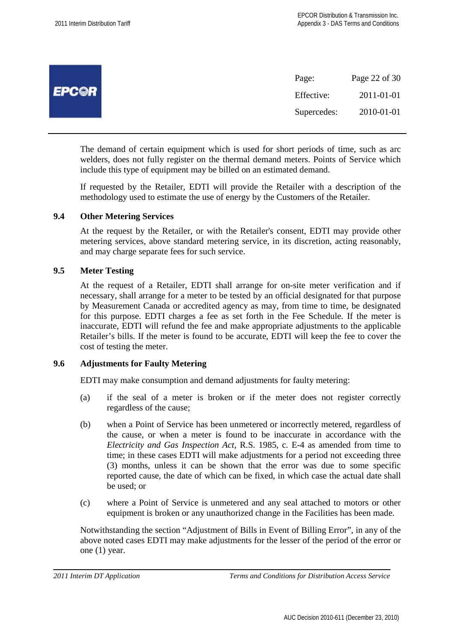|              | Page:       | Page 22 of 30 |
|--------------|-------------|---------------|
| <b>EPCOR</b> | Effective:  | 2011-01-01    |
|              | Supercedes: | 2010-01-01    |

The demand of certain equipment which is used for short periods of time, such as arc welders, does not fully register on the thermal demand meters. Points of Service which include this type of equipment may be billed on an estimated demand.

If requested by the Retailer, EDTI will provide the Retailer with a description of the methodology used to estimate the use of energy by the Customers of the Retailer.

#### **9.4 Other Metering Services**

At the request by the Retailer, or with the Retailer's consent, EDTI may provide other metering services, above standard metering service, in its discretion, acting reasonably, and may charge separate fees for such service.

## **9.5 Meter Testing**

At the request of a Retailer, EDTI shall arrange for on-site meter verification and if necessary, shall arrange for a meter to be tested by an official designated for that purpose by Measurement Canada or accredited agency as may, from time to time, be designated for this purpose. EDTI charges a fee as set forth in the Fee Schedule. If the meter is inaccurate, EDTI will refund the fee and make appropriate adjustments to the applicable Retailer's bills. If the meter is found to be accurate, EDTI will keep the fee to cover the cost of testing the meter.

#### **9.6 Adjustments for Faulty Metering**

EDTI may make consumption and demand adjustments for faulty metering:

- (a) if the seal of a meter is broken or if the meter does not register correctly regardless of the cause;
- (b) when a Point of Service has been unmetered or incorrectly metered, regardless of the cause, or when a meter is found to be inaccurate in accordance with the *Electricity and Gas Inspection Act*, R.S. 1985, c. E-4 as amended from time to time; in these cases EDTI will make adjustments for a period not exceeding three (3) months, unless it can be shown that the error was due to some specific reported cause, the date of which can be fixed, in which case the actual date shall be used; or
- (c) where a Point of Service is unmetered and any seal attached to motors or other equipment is broken or any unauthorized change in the Facilities has been made.

Notwithstanding the section "Adjustment of Bills in Event of Billing Error", in any of the above noted cases EDTI may make adjustments for the lesser of the period of the error or one (1) year.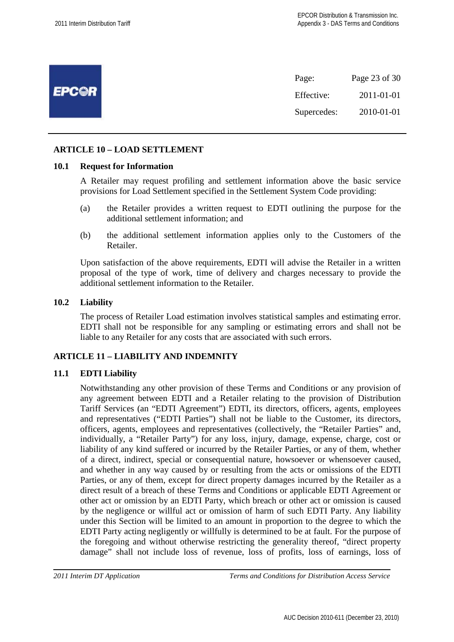|              | Page:       | Page 23 of 30 |
|--------------|-------------|---------------|
| <b>EPC@R</b> | Effective:  | 2011-01-01    |
|              | Supercedes: | 2010-01-01    |

# **ARTICLE 10 – LOAD SETTLEMENT**

#### **10.1 Request for Information**

A Retailer may request profiling and settlement information above the basic service provisions for Load Settlement specified in the Settlement System Code providing:

- (a) the Retailer provides a written request to EDTI outlining the purpose for the additional settlement information; and
- (b) the additional settlement information applies only to the Customers of the Retailer.

Upon satisfaction of the above requirements, EDTI will advise the Retailer in a written proposal of the type of work, time of delivery and charges necessary to provide the additional settlement information to the Retailer.

#### **10.2 Liability**

The process of Retailer Load estimation involves statistical samples and estimating error. EDTI shall not be responsible for any sampling or estimating errors and shall not be liable to any Retailer for any costs that are associated with such errors.

# **ARTICLE 11 – LIABILITY AND INDEMNITY**

# **11.1 EDTI Liability**

Notwithstanding any other provision of these Terms and Conditions or any provision of any agreement between EDTI and a Retailer relating to the provision of Distribution Tariff Services (an "EDTI Agreement") EDTI, its directors, officers, agents, employees and representatives ("EDTI Parties") shall not be liable to the Customer, its directors, officers, agents, employees and representatives (collectively, the "Retailer Parties" and, individually, a "Retailer Party") for any loss, injury, damage, expense, charge, cost or liability of any kind suffered or incurred by the Retailer Parties, or any of them, whether of a direct, indirect, special or consequential nature, howsoever or whensoever caused, and whether in any way caused by or resulting from the acts or omissions of the EDTI Parties, or any of them, except for direct property damages incurred by the Retailer as a direct result of a breach of these Terms and Conditions or applicable EDTI Agreement or other act or omission by an EDTI Party, which breach or other act or omission is caused by the negligence or willful act or omission of harm of such EDTI Party. Any liability under this Section will be limited to an amount in proportion to the degree to which the EDTI Party acting negligently or willfully is determined to be at fault. For the purpose of the foregoing and without otherwise restricting the generality thereof, "direct property damage" shall not include loss of revenue, loss of profits, loss of earnings, loss of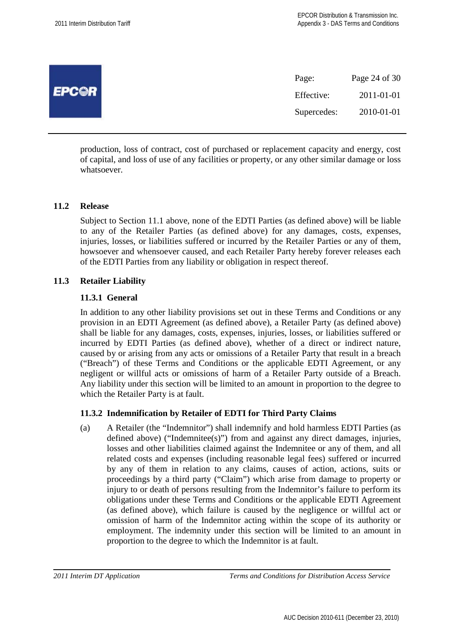| <b>EPCOR</b> | Page:       | Page 24 of 30 |
|--------------|-------------|---------------|
|              | Effective:  | 2011-01-01    |
|              | Supercedes: | 2010-01-01    |
|              |             |               |

production, loss of contract, cost of purchased or replacement capacity and energy, cost of capital, and loss of use of any facilities or property, or any other similar damage or loss whatsoever.

#### **11.2 Release**

Subject to Section 11.1 above, none of the EDTI Parties (as defined above) will be liable to any of the Retailer Parties (as defined above) for any damages, costs, expenses, injuries, losses, or liabilities suffered or incurred by the Retailer Parties or any of them, howsoever and whensoever caused, and each Retailer Party hereby forever releases each of the EDTI Parties from any liability or obligation in respect thereof.

#### **11.3 Retailer Liability**

#### **11.3.1 General**

In addition to any other liability provisions set out in these Terms and Conditions or any provision in an EDTI Agreement (as defined above), a Retailer Party (as defined above) shall be liable for any damages, costs, expenses, injuries, losses, or liabilities suffered or incurred by EDTI Parties (as defined above), whether of a direct or indirect nature, caused by or arising from any acts or omissions of a Retailer Party that result in a breach ("Breach") of these Terms and Conditions or the applicable EDTI Agreement, or any negligent or willful acts or omissions of harm of a Retailer Party outside of a Breach. Any liability under this section will be limited to an amount in proportion to the degree to which the Retailer Party is at fault.

# **11.3.2 Indemnification by Retailer of EDTI for Third Party Claims**

(a) A Retailer (the "Indemnitor") shall indemnify and hold harmless EDTI Parties (as defined above) ("Indemnitee(s)") from and against any direct damages, injuries, losses and other liabilities claimed against the Indemnitee or any of them, and all related costs and expenses (including reasonable legal fees) suffered or incurred by any of them in relation to any claims, causes of action, actions, suits or proceedings by a third party ("Claim") which arise from damage to property or injury to or death of persons resulting from the Indemnitor's failure to perform its obligations under these Terms and Conditions or the applicable EDTI Agreement (as defined above), which failure is caused by the negligence or willful act or omission of harm of the Indemnitor acting within the scope of its authority or employment. The indemnity under this section will be limited to an amount in proportion to the degree to which the Indemnitor is at fault.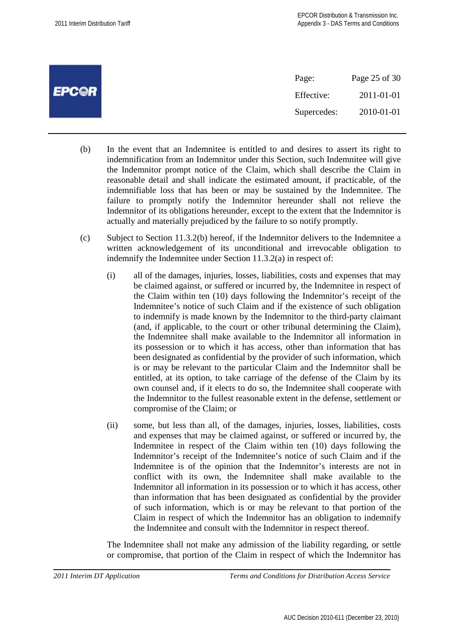|              | Page:       | Page 25 of 30 |
|--------------|-------------|---------------|
| <b>EPC@R</b> | Effective:  | 2011-01-01    |
|              | Supercedes: | 2010-01-01    |

- (b) In the event that an Indemnitee is entitled to and desires to assert its right to indemnification from an Indemnitor under this Section, such Indemnitee will give the Indemnitor prompt notice of the Claim, which shall describe the Claim in reasonable detail and shall indicate the estimated amount, if practicable, of the indemnifiable loss that has been or may be sustained by the Indemnitee. The failure to promptly notify the Indemnitor hereunder shall not relieve the Indemnitor of its obligations hereunder, except to the extent that the Indemnitor is actually and materially prejudiced by the failure to so notify promptly.
- (c) Subject to Section 11.3.2(b) hereof, if the Indemnitor delivers to the Indemnitee a written acknowledgement of its unconditional and irrevocable obligation to indemnify the Indemnitee under Section 11.3.2(a) in respect of:
	- (i) all of the damages, injuries, losses, liabilities, costs and expenses that may be claimed against, or suffered or incurred by, the Indemnitee in respect of the Claim within ten (10) days following the Indemnitor's receipt of the Indemnitee's notice of such Claim and if the existence of such obligation to indemnify is made known by the Indemnitor to the third-party claimant (and, if applicable, to the court or other tribunal determining the Claim), the Indemnitee shall make available to the Indemnitor all information in its possession or to which it has access, other than information that has been designated as confidential by the provider of such information, which is or may be relevant to the particular Claim and the Indemnitor shall be entitled, at its option, to take carriage of the defense of the Claim by its own counsel and, if it elects to do so, the Indemnitee shall cooperate with the Indemnitor to the fullest reasonable extent in the defense, settlement or compromise of the Claim; or
	- (ii) some, but less than all, of the damages, injuries, losses, liabilities, costs and expenses that may be claimed against, or suffered or incurred by, the Indemnitee in respect of the Claim within ten (10) days following the Indemnitor's receipt of the Indemnitee's notice of such Claim and if the Indemnitee is of the opinion that the Indemnitor's interests are not in conflict with its own, the Indemnitee shall make available to the Indemnitor all information in its possession or to which it has access, other than information that has been designated as confidential by the provider of such information, which is or may be relevant to that portion of the Claim in respect of which the Indemnitor has an obligation to indemnify the Indemnitee and consult with the Indemnitor in respect thereof.

The Indemnitee shall not make any admission of the liability regarding, or settle or compromise, that portion of the Claim in respect of which the Indemnitor has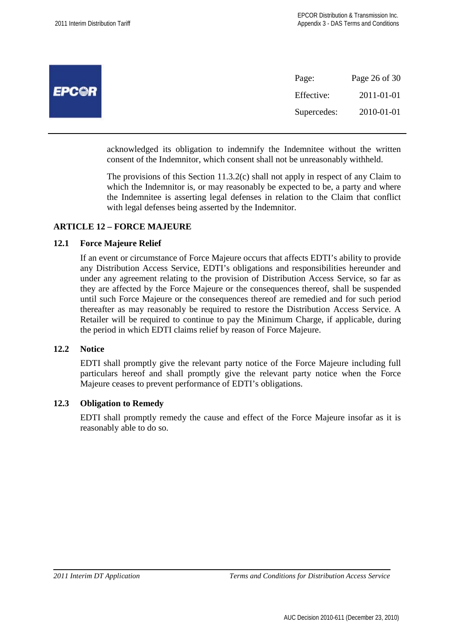| <b>EPCOR</b> | Page:       | Page 26 of 30 |
|--------------|-------------|---------------|
|              | Effective:  | 2011-01-01    |
|              | Supercedes: | 2010-01-01    |
|              |             |               |

acknowledged its obligation to indemnify the Indemnitee without the written consent of the Indemnitor, which consent shall not be unreasonably withheld.

The provisions of this Section 11.3.2(c) shall not apply in respect of any Claim to which the Indemnitor is, or may reasonably be expected to be, a party and where the Indemnitee is asserting legal defenses in relation to the Claim that conflict with legal defenses being asserted by the Indemnitor.

#### **ARTICLE 12 – FORCE MAJEURE**

#### **12.1 Force Majeure Relief**

If an event or circumstance of Force Majeure occurs that affects EDTI's ability to provide any Distribution Access Service, EDTI's obligations and responsibilities hereunder and under any agreement relating to the provision of Distribution Access Service, so far as they are affected by the Force Majeure or the consequences thereof, shall be suspended until such Force Majeure or the consequences thereof are remedied and for such period thereafter as may reasonably be required to restore the Distribution Access Service. A Retailer will be required to continue to pay the Minimum Charge, if applicable, during the period in which EDTI claims relief by reason of Force Majeure.

#### **12.2 Notice**

EDTI shall promptly give the relevant party notice of the Force Majeure including full particulars hereof and shall promptly give the relevant party notice when the Force Majeure ceases to prevent performance of EDTI's obligations.

#### **12.3 Obligation to Remedy**

EDTI shall promptly remedy the cause and effect of the Force Majeure insofar as it is reasonably able to do so.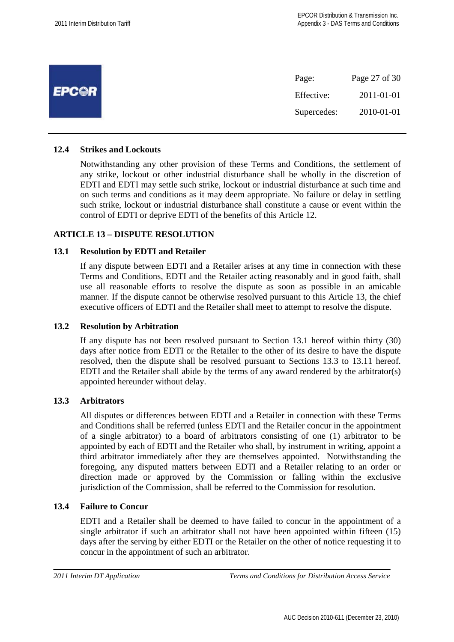| <b>EPC@R</b> | Page:       | Page 27 of 30 |
|--------------|-------------|---------------|
|              | Effective:  | 2011-01-01    |
|              | Supercedes: | 2010-01-01    |

#### **12.4 Strikes and Lockouts**

Notwithstanding any other provision of these Terms and Conditions, the settlement of any strike, lockout or other industrial disturbance shall be wholly in the discretion of EDTI and EDTI may settle such strike, lockout or industrial disturbance at such time and on such terms and conditions as it may deem appropriate. No failure or delay in settling such strike, lockout or industrial disturbance shall constitute a cause or event within the control of EDTI or deprive EDTI of the benefits of this Article 12.

#### **ARTICLE 13 – DISPUTE RESOLUTION**

#### **13.1 Resolution by EDTI and Retailer**

If any dispute between EDTI and a Retailer arises at any time in connection with these Terms and Conditions, EDTI and the Retailer acting reasonably and in good faith, shall use all reasonable efforts to resolve the dispute as soon as possible in an amicable manner. If the dispute cannot be otherwise resolved pursuant to this Article 13, the chief executive officers of EDTI and the Retailer shall meet to attempt to resolve the dispute.

#### **13.2 Resolution by Arbitration**

If any dispute has not been resolved pursuant to Section 13.1 hereof within thirty (30) days after notice from EDTI or the Retailer to the other of its desire to have the dispute resolved, then the dispute shall be resolved pursuant to Sections 13.3 to 13.11 hereof. EDTI and the Retailer shall abide by the terms of any award rendered by the arbitrator(s) appointed hereunder without delay.

#### **13.3 Arbitrators**

All disputes or differences between EDTI and a Retailer in connection with these Terms and Conditions shall be referred (unless EDTI and the Retailer concur in the appointment of a single arbitrator) to a board of arbitrators consisting of one (1) arbitrator to be appointed by each of EDTI and the Retailer who shall, by instrument in writing, appoint a third arbitrator immediately after they are themselves appointed. Notwithstanding the foregoing, any disputed matters between EDTI and a Retailer relating to an order or direction made or approved by the Commission or falling within the exclusive jurisdiction of the Commission, shall be referred to the Commission for resolution.

#### **13.4 Failure to Concur**

EDTI and a Retailer shall be deemed to have failed to concur in the appointment of a single arbitrator if such an arbitrator shall not have been appointed within fifteen (15) days after the serving by either EDTI or the Retailer on the other of notice requesting it to concur in the appointment of such an arbitrator.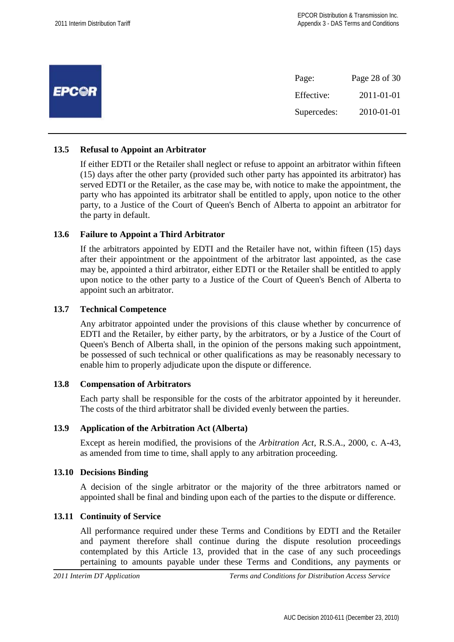| <b>EPCOR</b> | Page:       | Page 28 of 30 |
|--------------|-------------|---------------|
|              | Effective:  | 2011-01-01    |
|              | Supercedes: | 2010-01-01    |

# **13.5 Refusal to Appoint an Arbitrator**

If either EDTI or the Retailer shall neglect or refuse to appoint an arbitrator within fifteen (15) days after the other party (provided such other party has appointed its arbitrator) has served EDTI or the Retailer, as the case may be, with notice to make the appointment, the party who has appointed its arbitrator shall be entitled to apply, upon notice to the other party, to a Justice of the Court of Queen's Bench of Alberta to appoint an arbitrator for the party in default.

# **13.6 Failure to Appoint a Third Arbitrator**

If the arbitrators appointed by EDTI and the Retailer have not, within fifteen (15) days after their appointment or the appointment of the arbitrator last appointed, as the case may be, appointed a third arbitrator, either EDTI or the Retailer shall be entitled to apply upon notice to the other party to a Justice of the Court of Queen's Bench of Alberta to appoint such an arbitrator.

#### **13.7 Technical Competence**

Any arbitrator appointed under the provisions of this clause whether by concurrence of EDTI and the Retailer, by either party, by the arbitrators, or by a Justice of the Court of Queen's Bench of Alberta shall, in the opinion of the persons making such appointment, be possessed of such technical or other qualifications as may be reasonably necessary to enable him to properly adjudicate upon the dispute or difference.

#### **13.8 Compensation of Arbitrators**

Each party shall be responsible for the costs of the arbitrator appointed by it hereunder. The costs of the third arbitrator shall be divided evenly between the parties.

#### **13.9 Application of the Arbitration Act (Alberta)**

Except as herein modified, the provisions of the *Arbitration Act*, R.S.A., 2000, c. A-43, as amended from time to time, shall apply to any arbitration proceeding.

#### **13.10 Decisions Binding**

A decision of the single arbitrator or the majority of the three arbitrators named or appointed shall be final and binding upon each of the parties to the dispute or difference.

#### **13.11 Continuity of Service**

All performance required under these Terms and Conditions by EDTI and the Retailer and payment therefore shall continue during the dispute resolution proceedings contemplated by this Article 13, provided that in the case of any such proceedings pertaining to amounts payable under these Terms and Conditions, any payments or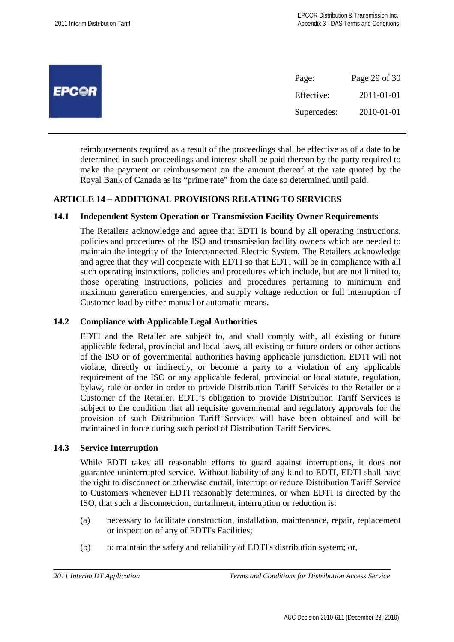|              | Page:       | Page 29 of 30 |
|--------------|-------------|---------------|
| <b>EPC@R</b> | Effective:  | 2011-01-01    |
|              | Supercedes: | 2010-01-01    |

reimbursements required as a result of the proceedings shall be effective as of a date to be determined in such proceedings and interest shall be paid thereon by the party required to make the payment or reimbursement on the amount thereof at the rate quoted by the Royal Bank of Canada as its "prime rate" from the date so determined until paid.

# **ARTICLE 14 – ADDITIONAL PROVISIONS RELATING TO SERVICES**

#### **14.1 Independent System Operation or Transmission Facility Owner Requirements**

The Retailers acknowledge and agree that EDTI is bound by all operating instructions, policies and procedures of the ISO and transmission facility owners which are needed to maintain the integrity of the Interconnected Electric System. The Retailers acknowledge and agree that they will cooperate with EDTI so that EDTI will be in compliance with all such operating instructions, policies and procedures which include, but are not limited to, those operating instructions, policies and procedures pertaining to minimum and maximum generation emergencies, and supply voltage reduction or full interruption of Customer load by either manual or automatic means.

## **14.2 Compliance with Applicable Legal Authorities**

EDTI and the Retailer are subject to, and shall comply with, all existing or future applicable federal, provincial and local laws, all existing or future orders or other actions of the ISO or of governmental authorities having applicable jurisdiction. EDTI will not violate, directly or indirectly, or become a party to a violation of any applicable requirement of the ISO or any applicable federal, provincial or local statute, regulation, bylaw, rule or order in order to provide Distribution Tariff Services to the Retailer or a Customer of the Retailer. EDTI's obligation to provide Distribution Tariff Services is subject to the condition that all requisite governmental and regulatory approvals for the provision of such Distribution Tariff Services will have been obtained and will be maintained in force during such period of Distribution Tariff Services.

#### **14.3 Service Interruption**

While EDTI takes all reasonable efforts to guard against interruptions, it does not guarantee uninterrupted service. Without liability of any kind to EDTI, EDTI shall have the right to disconnect or otherwise curtail, interrupt or reduce Distribution Tariff Service to Customers whenever EDTI reasonably determines, or when EDTI is directed by the ISO, that such a disconnection, curtailment, interruption or reduction is:

- (a) necessary to facilitate construction, installation, maintenance, repair, replacement or inspection of any of EDTI's Facilities;
- (b) to maintain the safety and reliability of EDTI's distribution system; or,